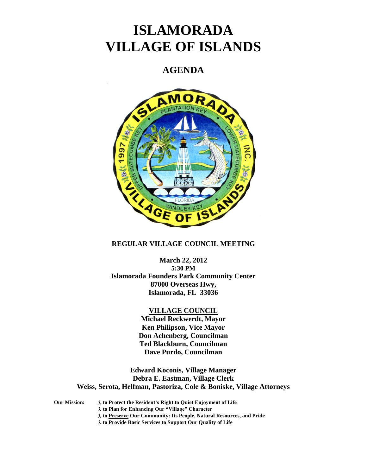# **ISLAMORADA VILLAGE OF ISLANDS**

## **AGENDA**



## **REGULAR VILLAGE COUNCIL MEETING**

**March 22, 2012 5:30 PM Islamorada Founders Park Community Center 87000 Overseas Hwy, Islamorada, FL 33036**

## **VILLAGE COUNCIL**

**Michael Reckwerdt, Mayor Ken Philipson, Vice Mayor Don Achenberg, Councilman Ted Blackburn, Councilman Dave Purdo, Councilman**

**Edward Koconis, Village Manager Debra E. Eastman, Village Clerk Weiss, Serota, Helfman, Pastoriza, Cole & Boniske, Village Attorneys**

**Our Mission: to Protect the Resident's Right to Quiet Enjoyment of Life**

**to Plan for Enhancing Our "Village" Character**

**to Preserve Our Community: Its People, Natural Resources, and Pride**

**to Provide Basic Services to Support Our Quality of Life**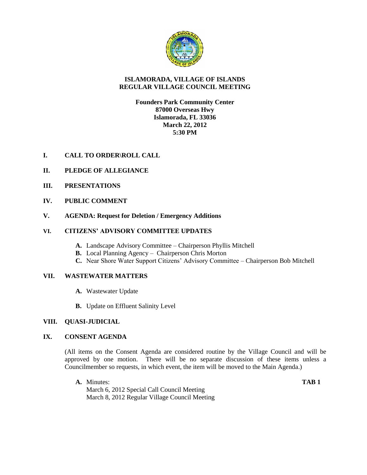

## **ISLAMORADA, VILLAGE OF ISLANDS REGULAR VILLAGE COUNCIL MEETING**

## **Founders Park Community Center 87000 Overseas Hwy Islamorada, FL 33036 March 22, 2012 5:30 PM**

- **I. CALL TO ORDER\ROLL CALL**
- **II. PLEDGE OF ALLEGIANCE**
- **III. PRESENTATIONS**
- **IV. PUBLIC COMMENT**
- **V. AGENDA: Request for Deletion / Emergency Additions**

### **VI. CITIZENS' ADVISORY COMMITTEE UPDATES**

- **A.** Landscape Advisory Committee Chairperson Phyllis Mitchell
- **B.** Local Planning Agency Chairperson Chris Morton
- **C.** Near Shore Water Support Citizens' Advisory Committee Chairperson Bob Mitchell

### **VII. WASTEWATER MATTERS**

- **A.** Wastewater Update
- **B.** Update on Effluent Salinity Level

## **VIII. QUASI-JUDICIAL**

## **IX. CONSENT AGENDA**

(All items on the Consent Agenda are considered routine by the Village Council and will be approved by one motion. There will be no separate discussion of these items unless a Councilmember so requests, in which event, the item will be moved to the Main Agenda.)

**A.** Minutes: **TAB 1** March 6, 2012 Special Call Council Meeting March 8, 2012 Regular Village Council Meeting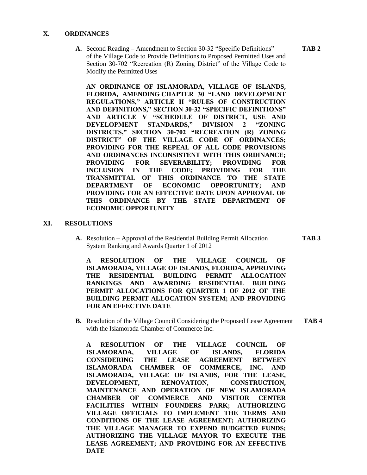#### **X. ORDINANCES**

**A.** Second Reading – Amendment to Section 30-32 "Specific Definitions" **TAB 2** of the Village Code to Provide Definitions to Proposed Permitted Uses and Section 30-702 "Recreation (R) Zoning District" of the Village Code to Modify the Permitted Uses

**AN ORDINANCE OF ISLAMORADA, VILLAGE OF ISLANDS, FLORIDA, AMENDING CHAPTER 30 "LAND DEVELOPMENT REGULATIONS," ARTICLE II "RULES OF CONSTRUCTION AND DEFINITIONS," SECTION 30-32 "SPECIFIC DEFINITIONS" AND ARTICLE V "SCHEDULE OF DISTRICT, USE AND DEVELOPMENT STANDARDS," DIVISION 2 "ZONING DISTRICTS," SECTION 30-702 "RECREATION (R) ZONING DISTRICT" OF THE VILLAGE CODE OF ORDINANCES; PROVIDING FOR THE REPEAL OF ALL CODE PROVISIONS AND ORDINANCES INCONSISTENT WITH THIS ORDINANCE; PROVIDING FOR SEVERABILITY; PROVIDING FOR INCLUSION IN THE CODE; PROVIDING FOR THE TRANSMITTAL OF THIS ORDINANCE TO THE STATE DEPARTMENT OF ECONOMIC OPPORTUNITY; AND PROVIDING FOR AN EFFECTIVE DATE UPON APPROVAL OF THIS ORDINANCE BY THE STATE DEPARTMENT OF ECONOMIC OPPORTUNITY**

#### **XI. RESOLUTIONS**

**A.** Resolution – Approval of the Residential Building Permit Allocation **TAB 3** System Ranking and Awards Quarter 1 of 2012

**A RESOLUTION OF THE VILLAGE COUNCIL OF ISLAMORADA, VILLAGE OF ISLANDS, FLORIDA, APPROVING THE RESIDENTIAL BUILDING PERMIT ALLOCATION RANKINGS AND AWARDING RESIDENTIAL BUILDING PERMIT ALLOCATIONS FOR QUARTER 1 OF 2012 OF THE BUILDING PERMIT ALLOCATION SYSTEM; AND PROVIDING FOR AN EFFECTIVE DATE**

**B.** Resolution of the Village Council Considering the Proposed Lease Agreement **TAB 4** with the Islamorada Chamber of Commerce Inc.

**A RESOLUTION OF THE VILLAGE COUNCIL OF ISLAMORADA, VILLAGE OF ISLANDS, FLORIDA CONSIDERING THE LEASE AGREEMENT BETWEEN ISLAMORADA CHAMBER OF COMMERCE, INC. AND ISLAMORADA, VILLAGE OF ISLANDS, FOR THE LEASE, DEVELOPMENT, RENOVATION, CONSTRUCTION, MAINTENANCE AND OPERATION OF NEW ISLAMORADA CHAMBER OF COMMERCE AND VISITOR CENTER FACILITIES WITHIN FOUNDERS PARK; AUTHORIZING VILLAGE OFFICIALS TO IMPLEMENT THE TERMS AND CONDITIONS OF THE LEASE AGREEMENT; AUTHORIZING THE VILLAGE MANAGER TO EXPEND BUDGETED FUNDS; AUTHORIZING THE VILLAGE MAYOR TO EXECUTE THE LEASE AGREEMENT; AND PROVIDING FOR AN EFFECTIVE DATE**